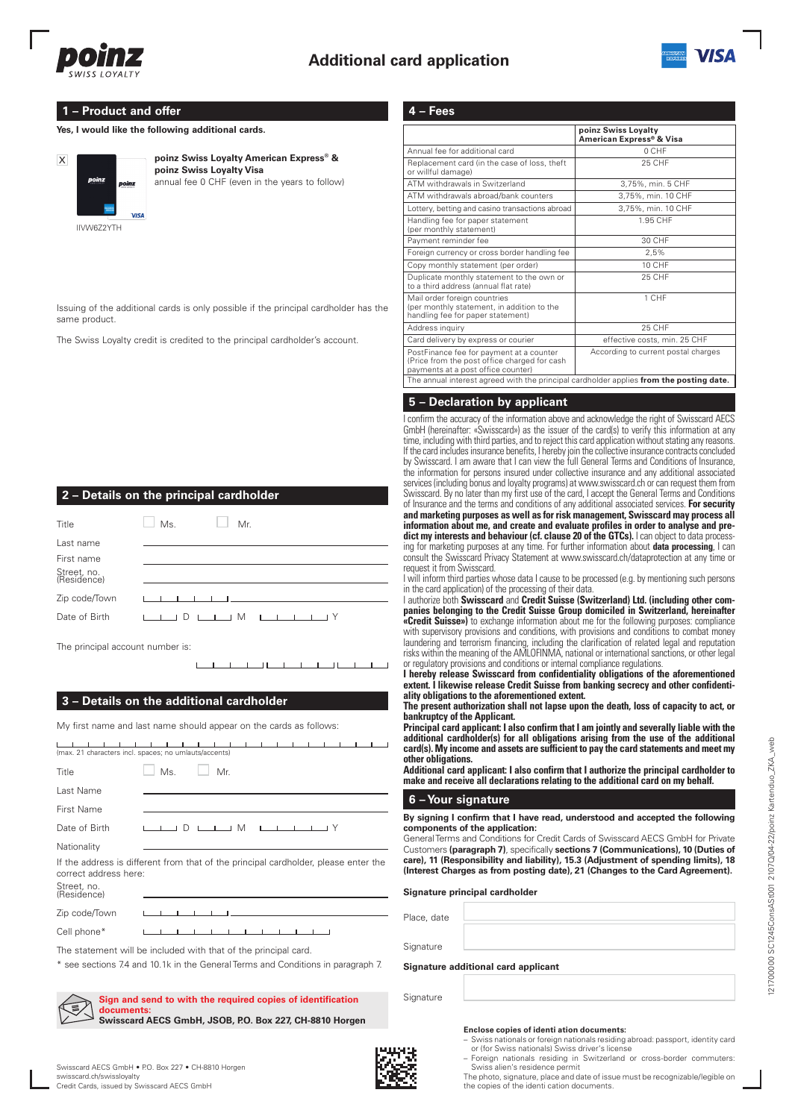

**4 – Fees**



## **1 – Product and offer**

**Yes, I would like the following additional cards.**



**poinz Swiss Loyalty American Express® & poinz Swiss Loyalty Visa** annual fee 0 CHF (even in the years to follow)

Issuing of the additional cards is only possible if the principal cardholder has the same product

The Swiss Loyalty credit is credited to the principal cardholder's account.

| 2 - Details on the principal cardholder |                                      |  |  |  |
|-----------------------------------------|--------------------------------------|--|--|--|
| Title                                   | Ms.<br>Mr.                           |  |  |  |
| Last name                               |                                      |  |  |  |
| First name                              |                                      |  |  |  |
| Street, no.<br>(Residence)              |                                      |  |  |  |
| Zip code/Town                           |                                      |  |  |  |
| Date of Birth                           | $\Box$ M<br><b>Contract Contract</b> |  |  |  |

The principal account number is:

## **3 – Details on the additional cardholder**

| My first name and last name should appear on the cards as follows:                                                                                  |                                                                                                                       |  |  |  |
|-----------------------------------------------------------------------------------------------------------------------------------------------------|-----------------------------------------------------------------------------------------------------------------------|--|--|--|
| .<br>(max. 21 characters incl. spaces; no umlauts/accents)                                                                                          |                                                                                                                       |  |  |  |
| Title                                                                                                                                               | Mr.<br>Ms.                                                                                                            |  |  |  |
| Last Name                                                                                                                                           |                                                                                                                       |  |  |  |
| First Name                                                                                                                                          |                                                                                                                       |  |  |  |
| Date of Birth                                                                                                                                       | $\bot$ D $\bot$ M $\bot$<br>$\Box$                                                                                    |  |  |  |
| Nationality                                                                                                                                         |                                                                                                                       |  |  |  |
| If the address is different from that of the principal cardholder, please enter the<br>correct address here:                                        |                                                                                                                       |  |  |  |
| Street, no.<br>(Residence)                                                                                                                          | <u> 1989 - Johann Harry Harry Harry Harry Harry Harry Harry Harry Harry Harry Harry Harry Harry Harry Harry Harry</u> |  |  |  |
| Zip code/Town                                                                                                                                       | $\blacksquare$                                                                                                        |  |  |  |
| Cell phone*                                                                                                                                         | 1111111                                                                                                               |  |  |  |
| The statement will be included with that of the principal card.<br>* see sections 7.4 and 10.1k in the General Terms and Conditions in paragraph 7. |                                                                                                                       |  |  |  |
| Sign and send to with the required copies of identification<br>documents:<br>Swisscard AECS GmbH, JSOB, P.O. Box 227, CH-8810 Horgen                |                                                                                                                       |  |  |  |

| Box 227 • CH-8810 Horgen |  |
|--------------------------|--|

|                                                                                    | poinz Swiss Loyalty<br>American Express® & Visa |
|------------------------------------------------------------------------------------|-------------------------------------------------|
| Annual fee for additional card                                                     | 0 CHF                                           |
| Replacement card (in the case of loss, theft<br>or willful damage)                 | 25 CHF                                          |
| ATM withdrawals in Switzerland                                                     | 3,75%, min. 5 CHF                               |
| ATM withdrawals abroad/bank counters                                               | 3,75%, min. 10 CHF                              |
| Lottery, betting and casino transactions abroad                                    | 3,75%, min. 10 CHF                              |
| Handling fee for paper statement<br>(per monthly statement)                        | 1.95 CHF                                        |
| Payment reminder fee                                                               | 30 CHF                                          |
| Foreign currency or cross border handling fee                                      | 2,5%                                            |
| Copy monthly statement (per order)                                                 | 10 CHF                                          |
| Duplicate monthly statement to the own or<br>to a third address (annual flat rate) | 25 CHF                                          |
| Mail order foreign countries                                                       | 1 CHF                                           |

(per monthly statement, in addition to the handling fee for paper statement) Address inquiry 25 CHI Card delivery by express or courier effective costs, min. 25 CHI PostFinance fee for payment at a counter (Price from the post office charged for cash payments at a post office counter) According to current postal charges

The annual interest agreed with the principal cardholder applies **from the posting date.**

## **5 – Declaration by applicant**

I confirm the accuracy of the information above and acknowledge the right of Swisscard AECS GmbH (hereinafter: «Swisscard») as the issuer of the card(s) to verify this information at any time, including with third parties, and to reject this card application without stating any reasons. If the card includes insurance benefits, I hereby join the collective insurance contracts concluded by Swisscard. I am aware that I can view the full General Terms and Conditions of Insurance, the information for persons insured under collective insurance and any additional associated services (including bonus and loyalty programs) at www.swisscard.ch or can request them from Swisscard. By no later than my first use of the card, I accept the General Terms and Conditions of Insurance and the terms and conditions of any additional associated services. **For security and marketing purposes as well as for risk management, Swisscard may process all information about me, and create and evaluate profiles in order to analyse and predict my interests and behaviour (cf. clause 20 of the GTCs).** I can object to data processing for marketing purposes at any time. For further information about **data processing**, I can consult the Swisscard Privacy Statement at www.swisscard.ch/dataprotection at any time or request it from Swisscard.

I will inform third parties whose data I cause to be processed (e.g. by mentioning such persons in the card application) of the processing of their data.

I authorize both **Swisscard** and **Credit Suisse (Switzerland) Ltd. (including other companies belonging to the Credit Suisse Group domiciled in Switzerland, hereinafter «Credit Suisse»)** to exchange information about me for the following purposes: compliance with supervisory provisions and conditions, with provisions and conditions to combat money laundering and terrorism financing, including the clarification of related legal and reputation risks within the meaning of the AMLOFINMA, national or international sanctions, or other legal or regulatory provisions and conditions or internal compliance regulations.

**I hereby release Swisscard from confidentiality obligations of the aforementioned extent. I likewise release Credit Suisse from banking secrecy and other confidentiality obligations to the aforementioned extent.** 

**The present authorization shall not lapse upon the death, loss of capacity to act, or bankruptcy of the Applicant.**

**Principal card applicant: I also confirm that I am jointly and severally liable with the additional cardholder(s) for all obligations arising from the use of the additional card(s). My income and assets are sufficient to pay the card statements and meet my other obligations.**

**Additional card applicant: I also confirm that I authorize the principal cardholder to make and receive all declarations relating to the additional card on my behalf.**

## **6 – Your signature**

**By signing I confirm that I have read, understood and accepted the following components of the application:**

General Terms and Conditions for Credit Cards of Swisscard AECS GmbH for Private Customers **(paragraph 7)**, specifically **sections 7 (Communications), 10 (Duties of care), 11 (Responsibility and liability), 15.3 (Adjustment of spending limits), 18 (Interest Charges as from posting date), 21 (Changes to the Card Agreement).**

**Signature principal cardholder**

Place, date Signature **Signature additional card applicant**

Signature

### **Enclose copies of identi ation documents:**

- Swiss nationals or foreign nationals residing abroad: passport, identity card or (for Swiss nationals) Swiss driver's license
- Foreign nationals residing in Switzerland or cross-border commuters: Swiss alien's residence permit
- The photo, signature, place and date of issue must be recognizable/legible on the copies of the identi cation documents.

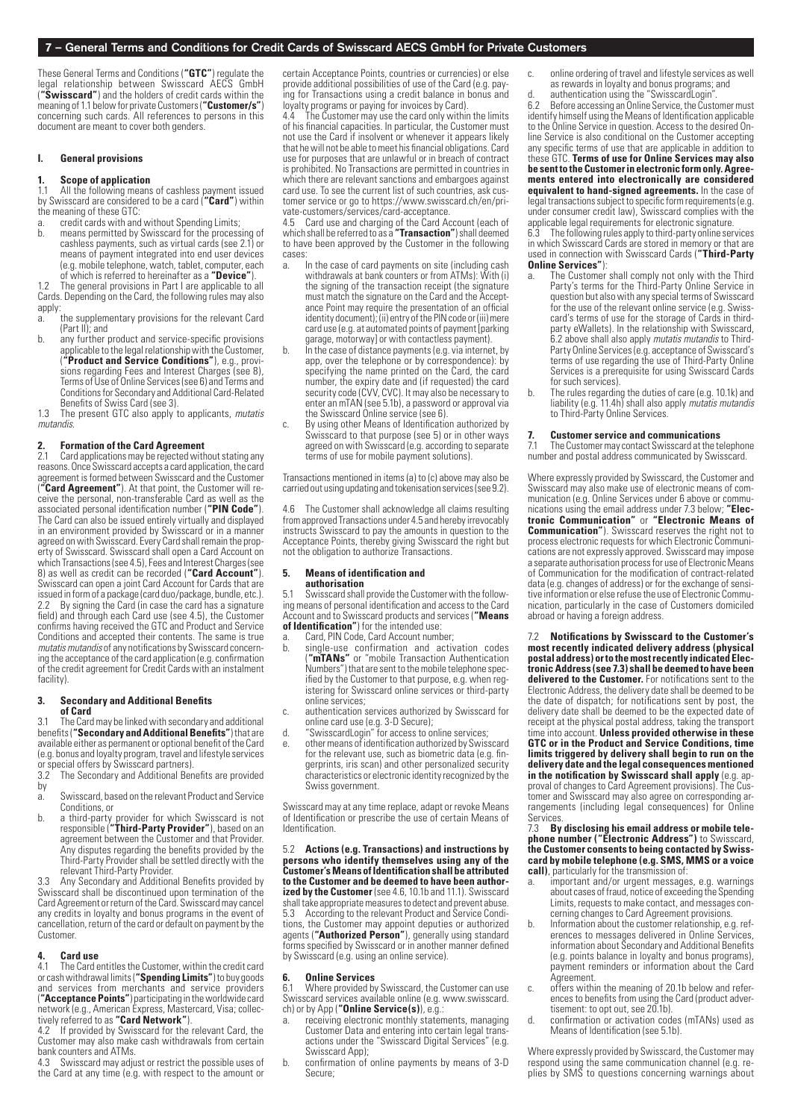### **7 – General Terms and Conditions for Credit Cards of Swisscard AECS GmbH for Private Customers**

These General Terms and Conditions (**"GTC"**) regulate the legal relationship between Swisscard AECS GmbH (**"Swisscard"**) and the holders of credit cards within the meaning of 1.1 below for private Customers (**"Customer/s"**) concerning such cards. All references to persons in this document are meant to cover both genders.

#### **I. General provisions**

## **1. Scope of application**

1.1 All the following means of cashless payment issued by Swisscard are considered to be a card (**"Card"**) within the meaning of these GTC:

- a. credit cards with and without Spending Limits;<br>b means permitted by Swisscard for the process
- b. means permitted by Swisscard for the processing of cashless payments, such as virtual cards (see 2.1) or means of payment integrated into end user devices (e.g. mobile telephone, watch, tablet, computer, each of which is referred to hereinafter as a **"Device"**).

1.2 The general provisions in Part I are applicable to all Cards. Depending on the Card, the following rules may also apply:

- a. the supplementary provisions for the relevant Card (Part II); and
- b. any further product and service-specific provisions applicable to the legal relationship with the Customer, (**"Product and Service Conditions"**), e.g., provisions regarding Fees and Interest Charges (see 8), Terms of Use of Online Services (see 6) and Terms and Conditions for Secondary and Additional Card-Related Benefits of Swiss Card (see 3).

1.3 The present GTC also apply to applicants, *mutatis mutandis.*

### **2. Formation of the Card Agreement**

2.1 Card applications may be rejected without stating any reasons. Once Swisscard accepts a card application, the card agreement is formed between Swisscard and the Customer (**"Card Agreement"**). At that point, the Customer will receive the personal, non-transferable Card as well as the associated personal identification number (**"PIN Code"**). The Card can also be issued entirely virtually and displayed in an environment provided by Swisscard or in a manner agreed on with Swisscard. Every Card shall remain the property of Swisscard. Swisscard shall open a Card Account on which Transactions (see 4.5), Fees and Interest Charges (see 8) as well as credit can be recorded (**"Card Account"**). Swisscard can open a joint Card Account for Cards that are issued in form of a package (card duo/package, bundle, etc.). 2.2 By signing the Card (in case the card has a signature field) and through each Card use (see 4.5), the Customer confirms having received the GTC and Product and Service Conditions and accepted their contents. The same is true *mutatis mutandis* of any notifications by Swisscard concerning the acceptance of the card application (e.g. confirmation of the credit agreement for Credit Cards with an instalment facility).

### **3. Secondary and Additional Benefits of Card**

3.1 The Card may be linked with secondary and additional benefits (**"Secondary and Additional Benefits"**) that are available either as permanent or optional benefit of the Card (e.g. bonus and loyalty program, travel and lifestyle services

or special offers by Swisscard partners).<br>3.2 The Secondary and Additional Ber The Secondary and Additional Benefits are provided by

- a. Swisscard, based on the relevant Product and Service Conditions, or
- b. a third-party provider for which Swisscard is not responsible (**"Third-Party Provider"**), based on an agreement between the Customer and that Provider. Any disputes regarding the benefits provided by the Third-Party Provider shall be settled directly with the relevant Third-Party Provider.

3.3 Any Secondary and Additional Benefits provided by Swisscard shall be discontinued upon termination of the Card Agreement or return of the Card. Swisscard may cancel any credits in loyalty and bonus programs in the event of cancellation, return of the card or default on payment by the Customer.

## **4. Card use**

The Card entitles the Customer, within the credit card or cash withdrawal limits (**"Spending Limits"**) to buy goods and services from merchants and service providers (**"Acceptance Points"**) participating in the worldwide card

network (e.g., American Express, Mastercard, Visa; collec-<br>tively referred to as **"Card Network"**).<br>4.2 If provided by Swisscard for the relevant Card, the<br>Customer may also make cash withdrawals from certain bank counters and ATMs.

4.3 Swisscard may adjust or restrict the possible uses of the Card at any time (e.g. with respect to the amount or certain Acceptance Points, countries or currencies) or else provide additional possibilities of use of the Card (e.g. paying for Transactions using a credit balance in bonus and loyalty programs or paying for invoices by Card).

4.4 The Customer may use the card only within the limits of his financial capacities. In particular, the Customer must not use the Card if insolvent or whenever it appears likely that he will not be able to meet his financial obligations. Card use for purposes that are unlawful or in breach of contract is prohibited. No Transactions are permitted in countries in which there are relevant sanctions and embargoes against card use. To see the current list of such countries, ask customer service or go to https://www.swisscard.ch/en/private-customers/services/card-acceptance.

4.5 Card use and charging of the Card Account (each of which shall be referred to as a **"Transaction"**) shall deemed to have been approved by the Customer in the following cases:

- a. In the case of card payments on site (including cash withdrawals at bank counters or from ATMs): With (i) the signing of the transaction receipt (the signature must match the signature on the Card and the Acceptance Point may require the presentation of an official identity document); (ii) entry of the PIN code or (iii) mere card use (e.g. at automated points of payment [parking garage, motorway] or with contactless payment).
- b. In the case of distance payments (e.g. via internet, by app, over the telephone or by correspondence): by specifying the name printed on the Card, the card number, the expiry date and (if requested) the card security code (CVV, CVC). It may also be necessary to enter an mTAN (see 5.1b), a password or approval via the Swisscard Online service (see 6).
- c. By using other Means of Identification authorized by Swisscard to that purpose (see 5) or in other ways agreed on with Swisscard (e.g. according to separate terms of use for mobile payment solutions).

Transactions mentioned in items (a) to (c) above may also be carried out using updating and tokenisation services (see 9.2).

4.6 The Customer shall acknowledge all claims resulting from approved Transactions under 4.5 and hereby irrevocably instructs Swisscard to pay the amounts in question to the Acceptance Points, thereby giving Swisscard the right but not the obligation to authorize Transactions.

## **5. Means of identification and**

## **authorisation**

5.1 Swisscard shall provide the Customer with the following means of personal identification and access to the Card Account and to Swisscard products and services (**"Means of Identification"**) for the intended use:

- a. Card, PIN Code, Card Account number;
- b. single-use confirmation and activation codes (**"mTANs"** or "mobile Transaction Authentication Numbers") that are sent to the mobile telephone specified by the Customer to that purpose, e.g. when reg-istering for Swisscard online services or third-party online services;
- c. authentication services authorized by Swisscard for online card use (e.g. 3-D Secure);
- d. "SwisscardLogin" for access to online services;
- e. other means of identification authorized by Swisscard for the relevant use, such as biometric data (e.g. fingerprints, iris scan) and other personalized security characteristics or electronic identity recognized by the Swiss government.

Swisscard may at any time replace, adapt or revoke Means of Identification or prescribe the use of certain Means of **Identification** 

5.2 **Actions (e.g. Transactions) and instructions by persons who identify themselves using any of the Customer's Means of Identification shall be attributed to the Customer and be deemed to have been authorized by the Customer** (see 4.6, 10.1b and 11.1). Swisscard shall take appropriate measures to detect and prevent abuse. 5.3 According to the relevant Product and Service Conditions, the Customer may appoint deputies or authorized agents (**"Authorized Person"**), generally using standard forms specified by Swisscard or in another manner defined by Swisscard (e.g. using an online service).

# **6. Online Services**

Where provided by Swisscard, the Customer can use Swisscard services available online (e.g. www.swisscard. ch) or by App (**"Online Service(s)**), e.g.:

- a. receiving electronic monthly statements, managing Customer Data and entering into certain legal transactions under the "Swisscard Digital Services" (e.g. Swisscard App);
- b. confirmation of online payments by means of 3-D Secure;

c. online ordering of travel and lifestyle services as well as rewards in loyalty and bonus programs; and

d. authentication using the "SwisscardLogin". 6.2 Before accessing an Online Service, the Customer must identify himself using the Means of Identification applicable to the Online Service in question. Access to the desired Online Service is also conditional on the Customer accepting any specific terms of use that are applicable in addition to these GTC. **Terms of use for Online Services may also be sent to the Customer in electronic form only. Agree-ments entered into electronically are considered equivalent to hand-signed agreements.** In the case of legal transactions subject to specific form requirements (e.g. under consumer credit law), Swisscard complies with the applicable legal requirements for electronic signature.

6.3 The following rules apply to third-party online services in which Swisscard Cards are stored in memory or that are used in connection with Swisscard Cards (**"Third-Party Online Services"**):<br>a. The Customer

- The Customer shall comply not only with the Third Party's terms for the Third-Party Online Service in question but also with any special terms of Swisscard for the use of the relevant online service (e.g. Swisscard's terms of use for the storage of Cards in thirdparty eWallets). In the relationship with Swisscard, 6.2 above shall also apply *mutatis mutandis* to Third-Party Online Services (e.g. acceptance of Swisscard's terms of use regarding the use of Third-Party Online Services is a prerequisite for using Swisscard Cards for such services).
- b. The rules regarding the duties of care (e.g. 10.1k) and liability (e.g. 11.4h) shall also apply *mutatis mutandis* to Third-Party Online Services.

## **7. Customer service and communications**

The Customer may contact Swisscard at the telephone number and postal address communicated by Swisscard.

Where expressly provided by Swisscard, the Customer and Swisscard may also make use of electronic means of communication (e.g. Online Services under 6 above or communications using the email address under 7.3 below; **"Elec-tronic Communication"** or **"Electronic Means of Communication"**). Swisscard reserves the right not to process electronic requests for which Electronic Communications are not expressly approved. Swisscard may impose a separate authorisation process for use of Electronic Means of Communication for the modification of contract-related data (e.g. changes of address) or for the exchange of sensi-tive information or else refuse the use of Electronic Communication, particularly in the case of Customers domiciled abroad or having a foreign address.

7.2 **Notifications by Swisscard to the Customer's most recently indicated delivery address (physical postal address) or to the most recently indicated Elec-tronic Address (see 7.3) shall be deemed to have been delivered to the Customer.** For notifications sent to the Electronic Address, the delivery date shall be deemed to be the date of dispatch; for notifications sent by post, the delivery date shall be deemed to be the expected date of receipt at the physical postal address, taking the transport time into account. **Unless provided otherwise in these GTC or in the Product and Service Conditions, time limits triggered by delivery shall begin to run on the delivery date and the legal consequences mentioned**  proval of changes to Card Agreement provisions). The Customer and Swisscard may also agree on corresponding arrangements (including legal consequences) for Online Services.<br>7.3 **Bv** 

7.3 **By disclosing his email address or mobile telephone number ("Electronic Address")** to Swisscard, **the Customer consents to being contacted by Swisscard by mobile telephone (e.g. SMS, MMS or a voice** 

- **call)**, particularly for the transmission of: a. important and/or urgent messages, e.g. warnings about cases of fraud, notice of exceeding the Spending Limits, requests to make contact, and messages concerning changes to Card Agreement provisions.
- b. Information about the customer relationship, e.g. references to messages delivered in Online Services, information about Secondary and Additional Benefits (e.g. points balance in loyalty and bonus programs), payment reminders or information about the Card Agreement.
- c. offers within the meaning of 20.1b below and references to benefits from using the Card (product advertisement: to opt out, see 20.1b).
- d. confirmation or activation codes (mTANs) used as Means of Identification (see 5.1b).

Where expressly provided by Swisscard, the Customer may respond using the same communication channel (e.g. replies by SMS to questions concerning warnings about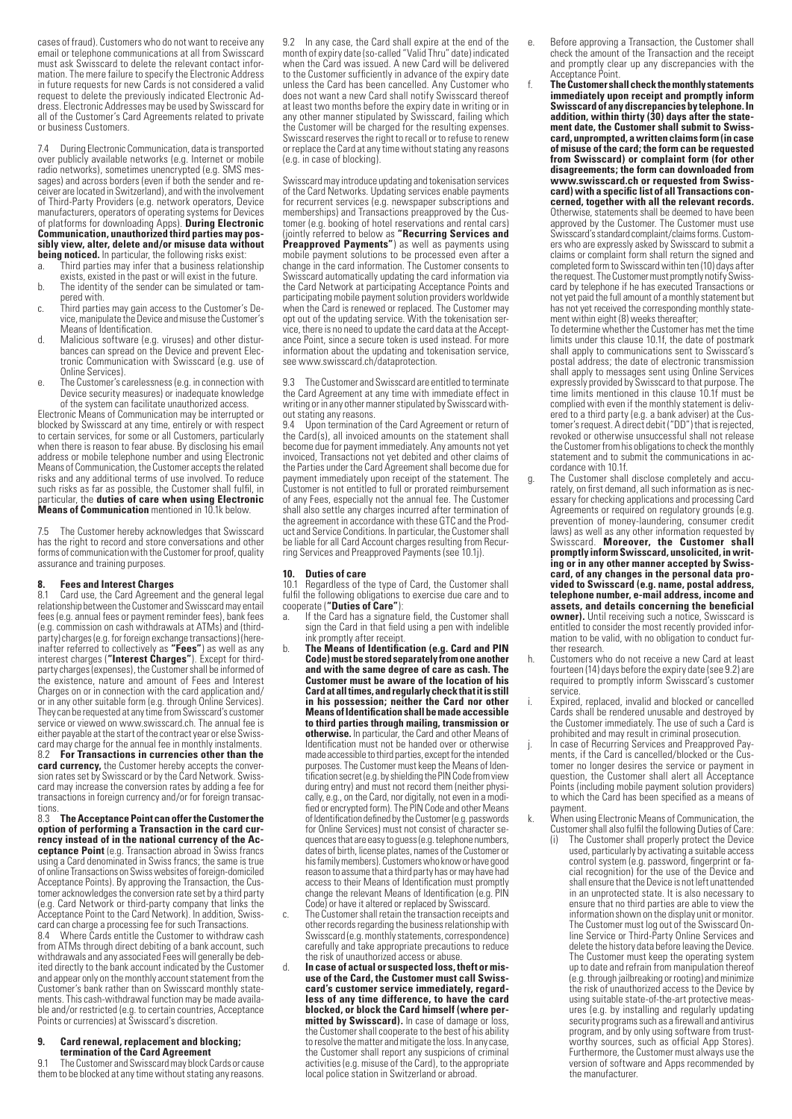cases of fraud). Customers who do not want to receive any email or telephone communications at all from Swisscard must ask Swisscard to delete the relevant contact information. The mere failure to specify the Electronic Address in future requests for new Cards is not considered a valid request to delete the previously indicated Electronic Address. Electronic Addresses may be used by Swisscard for all of the Customer's Card Agreements related to private or business Customers.

During Electronic Communication, data is transported over publicly available networks (e.g. Internet or mobile radio networks), sometimes unencrypted (e.g. SMS mes-sages) and across borders (even if both the sender and receiver are located in Switzerland), and with the involvement of Third-Party Providers (e.g. network operators, Device manufacturers, operators of operating systems for Devices of platforms for downloading Apps). **During Electronic Communication, unauthorized third parties may possibly view, alter, delete and/or misuse data without being noticed.** In particular, the following risks exist: a. Third parties may infer that a business relationship

- exists, existed in the past or will exist in the future.
- b. The identity of the sender can be simulated or tampered with.
- c. Third parties may gain access to the Customer's Device, manipulate the Device and misuse the Customer's Means of Identification.
- d. Malicious software (e.g. viruses) and other distur-bances can spread on the Device and prevent Electronic Communication with Swisscard (e.g. use of Online Services).
- e. The Customer's carelessness (e.g. in connection with Device security measures) or inadequate knowledge of the system can facilitate unauthorized access.

Electronic Means of Communication may be interrupted or blocked by Swisscard at any time, entirely or with respect to certain services, for some or all Customers, particularly when there is reason to fear abuse. By disclosing his email address or mobile telephone number and using Electronic Means of Communication, the Customer accepts the related risks and any additional terms of use involved. To reduce such risks as far as possible, the Customer shall fulfil, in particular, the **duties of care when using Electronic Means of Communication** mentioned in 10.1k below.

7.5 The Customer hereby acknowledges that Swisscard has the right to record and store conversations and other forms of communication with the Customer for proof, quality assurance and training purposes.

## **8. Fees and Interest Charges**

Card use, the Card Agreement and the general legal relationship between the Customer and Swisscard may entail fees (e.g. annual fees or payment reminder fees), bank fees (e.g. commission on cash withdrawals at ATMs) and (thirdparty) charges (e.g. for foreign exchange transactions) (hereinafter referred to collectively as **"Fees"**) as well as any interest charges (**"Interest Charges"**). Except for thirdparty charges (expenses), the Customer shall be informed of the existence, nature and amount of Fees and Interest Charges on or in connection with the card application and/ or in any other suitable form (e.g. through Online Services). They can be requested at any time from Swisscard's customer service or viewed on www.swisscard.ch. The annual fee is either payable at the start of the contract year or else Swisscard may charge for the annual fee in monthly instalments. 8.2 **For Transactions in currencies other than the card currency,** the Customer hereby accepts the conversion rates set by Swisscard or by the Card Network. Swisscard may increase the conversion rates by adding a fee for transactions in foreign currency and/or for foreign transac-

tions. 8.3 **The Acceptance Point can offer the Customer the option of performing a Transaction in the card cur-rency instead of in the national currency of the Acceptance Point** (e.g. Transaction abroad in Swiss francs using a Card denominated in Swiss francs; the same is true of online Transactions on Swiss websites of foreign-domiciled Acceptance Points). By approving the Transaction, the Customer acknowledges the conversion rate set by a third party (e.g. Card Network or third-party company that links the Acceptance Point to the Card Network). In addition, Swisscard can charge a processing fee for such Transactions.

8.4 Where Cards entitle the Customer to withdraw cash from ATMs through direct debiting of a bank account, such withdrawals and any associated Fees will generally be debited directly to the bank account indicated by the Customer and appear only on the monthly account statement from the Customer's bank rather than on Swisscard monthly statements. This cash-withdrawal function may be made available and/or restricted (e.g. to certain countries, Acceptance Points or currencies) at Swisscard's discretion.

#### **9. Card renewal, replacement and blocking; termination of the Card Agreement**

9.1 The Customer and Swisscard may block Cards or cause them to be blocked at any time without stating any reasons. 9.2 In any case, the Card shall expire at the end of the month of expiry date (so-called "Valid Thru" date) indicated when the Card was issued. A new Card will be delivered to the Customer sufficiently in advance of the expiry date unless the Card has been cancelled. Any Customer who does not want a new Card shall notify Swisscard thereof at least two months before the expiry date in writing or in<br>any other manner stipulated by Swisscard, failing which<br>the Customer will be charged for the resulting expenses.<br>Swisscard reserves the right to recall or to refu or replace the Card at any time without stating any reasons (e.g. in case of blocking).

Swisscard may introduce updating and tokenisation services of the Card Networks. Updating services enable payments for recurrent services (e.g. newspaper subscriptions and memberships) and Transactions preapproved by the Customer (e.g. booking of hotel reservations and rental cars) (jointly referred to below as **"Recurring Services and Preapproved Payments"**) as well as payments using mobile payment solutions to be processed even after a change in the card information. The Customer consents to Swisscard automatically updating the card information via the Card Network at participating Acceptance Points and participating mobile payment solution providers worldwide when the Card is renewed or replaced. The Customer may opt out of the updating service. With the tokenisation service, there is no need to update the card data at the Acceptance Point, since a secure token is used instead. For more information about the updating and tokenisation service, see www.swisscard.ch/dataprotection.

9.3 The Customer and Swisscard are entitled to terminate the Card Agreement at any time with immediate effect in writing or in any other manner stipulated by Swisscard without stating any reasons.

Upon termination of the Card Agreement or return of the Card(s), all invoiced amounts on the statement shall become due for payment immediately. Any amounts not yet invoiced, Transactions not yet debited and other claims of the Parties under the Card Agreement shall become due for payment immediately upon receipt of the statement. The Customer is not entitled to full or prorated reimbursement of any Fees, especially not the annual fee. The Customer shall also settle any charges incurred after termination of the agreement in accordance with these GTC and the Product and Service Conditions. In particular, the Customer shall be liable for all Card Account charges resulting from Recurring Services and Preapproved Payments (see 10.1j).

## **10. Duties of care**

10.1 Regardless of the type of Card, the Customer shall fulfil the following obligations to exercise due care and to cooperate (**"Duties of Care"**):

- a. If the Card has a signature field, the Customer shall sign the Card in that field using a pen with indelible ink promptly after receipt.
- b. **The Means of Identification (e.g. Card and PIN Code) must be stored separately from one another and with the same degree of care as cash. The Customer must be aware of the location of his Card at all times, and regularly check that it is still in his possession; neither the Card nor other Means of Identification shall be made accessible to third parties through mailing, transmission or otherwise.** In particular, the Card and other Means of Identification must not be handed over or otherwise made accessible to third parties, except for the intended purposes. The Customer must keep the Means of Identification secret (e.g. by shielding the PIN Code from view during entry) and must not record them (neither physically, e.g., on the Card, nor digitally, not even in a modified or encrypted form). The PIN Code and other Means of Identification defined by the Customer (e.g. passwords for Online Services) must not consist of character sequences that are easy to guess (e.g. telephone numbers, dates of birth, license plates, names of the Customer or his family members). Customers who know or have good reason to assume that a third party has or may have had access to their Means of Identification must promptly change the relevant Means of Identification (e.g. PIN Code) or have it altered or replaced by Swisscard. c. The Customer shall retain the transaction receipts and
- other records regarding the business relationship with Swisscard (e.g. monthly statements, correspondence) carefully and take appropriate precautions to reduce the risk of unauthorized access or abuse.
- d. **In case of actual or suspected loss, theft or mis-use of the Card, the Customer must call Swisscard's customer service immediately, regardless of any time difference, to have the card blocked, or block the Card himself (where permitted by Swisscard).** In case of damage or loss, the Customer shall cooperate to the best of his ability to resolve the matter and mitigate the loss. In any case, the Customer shall report any suspicions of criminal activities (e.g. misuse of the Card), to the appropriate local police station in Switzerland or abroad

e. Before approving a Transaction, the Customer shall check the amount of the Transaction and the receipt and promptly clear up any discrepancies with the Acceptance Point.

f. **The Customer shall check the monthly statements immediately upon receipt and promptly inform Swisscard of any discrepancies by telephone. In addition, within thirty (30) days after the statement date, the Customer shall submit to Swisscard, unprompted, a written claims form (in case of misuse of the card; the form can be requested from Swisscard) or complaint form (for other disagreements; the form can downloaded from www.swisscard.ch or requested from Swiss-card) with a specific list of all Transactions concerned, together with all the relevant records.** Otherwise, statements shall be deemed to have been approved by the Customer. The Customer must use Swisscard's standard complaint/claims forms. Customers who are expressly asked by Swisscard to submit a claims or complaint form shall return the signed and completed form to Swisscard within ten (10) days after the request. The Customer must promptly notify Swisscard by telephone if he has executed Transactions or not yet paid the full amount of a monthly statement but has not yet received the corresponding monthly statement within eight (8) weeks thereafter;

 To determine whether the Customer has met the time limits under this clause 10.1f, the date of postmark shall apply to communications sent to Swisscard's postal address; the date of electronic transmission shall apply to messages sent using Online Services expressly provided by Swisscard to that purpose. The time limits mentioned in this clause 10.1f must be complied with even if the monthly statement is delivered to a third party (e.g. a bank adviser) at the Customer's request. A direct debit ("DD") that is rejected, revoked or otherwise unsuccessful shall not release the Customer from his obligations to check the monthly statement and to submit the communications in accordance with 10.1f.

g. The Customer shall disclose completely and accurately, on first demand, all such information as is necessary for checking applications and processing Card Agreements or required on regulatory grounds (e.g. prevention of money-laundering, consumer credit laws) as well as any other information requested by Swisscard. **Moreover, the Customer shall promptly inform Swisscard, unsolicited, in writing or in any other manner accepted by Swisscard, of any changes in the personal data provided to Swisscard (e.g. name, postal address, telephone number, e-mail address, income and assets, and details concerning the beneficial owner).** Until receiving such a notice, Swisscard is entitled to consider the most recently provided information to be valid, with no obligation to conduct further research.

h. Customers who do not receive a new Card at least fourteen (14) days before the expiry date (see 9.2) are required to promptly inform Swisscard's customer service.

- i. Expired, replaced, invalid and blocked or cancelled Cards shall be rendered unusable and destroyed by the Customer immediately. The use of such a Card is prohibited and may result in criminal prosecution.
- j. In case of Recurring Services and Preapproved Pay-ments, if the Card is cancelled/blocked or the Cus-tomer no longer desires the service or payment in question, the Customer shall alert all Acceptance Points (including mobile payment solution providers) to which the Card has been specified as a means of payment.
- k. When using Electronic Means of Communication, the
	- Customer shall also fulfil the following Duties of Care: (i) The Customer shall properly protect the Device used, particularly by activating a suitable access control system (e.g. password, fingerprint or fa-cial recognition) for the use of the Device and shall ensure that the Device is not left unattended in an unprotected state. It is also necessary to ensure that no third parties are able to view the information shown on the display unit or monitor. The Customer must log out of the Swisscard Online Service or Third-Party Online Services and delete the history data before leaving the Device. The Customer must keep the operating system up to date and refrain from manipulation thereof (e.g. through jailbreaking or rooting) and minimize the risk of unauthorized access to the Device by using suitable state-of-the-art protective measures (e.g. by installing and regularly updating security programs such as a firewall and antivirus program, and by only using software from trust-worthy sources, such as official App Stores). Furthermore, the Customer must always use the version of software and Apps recommended by the manufacturer.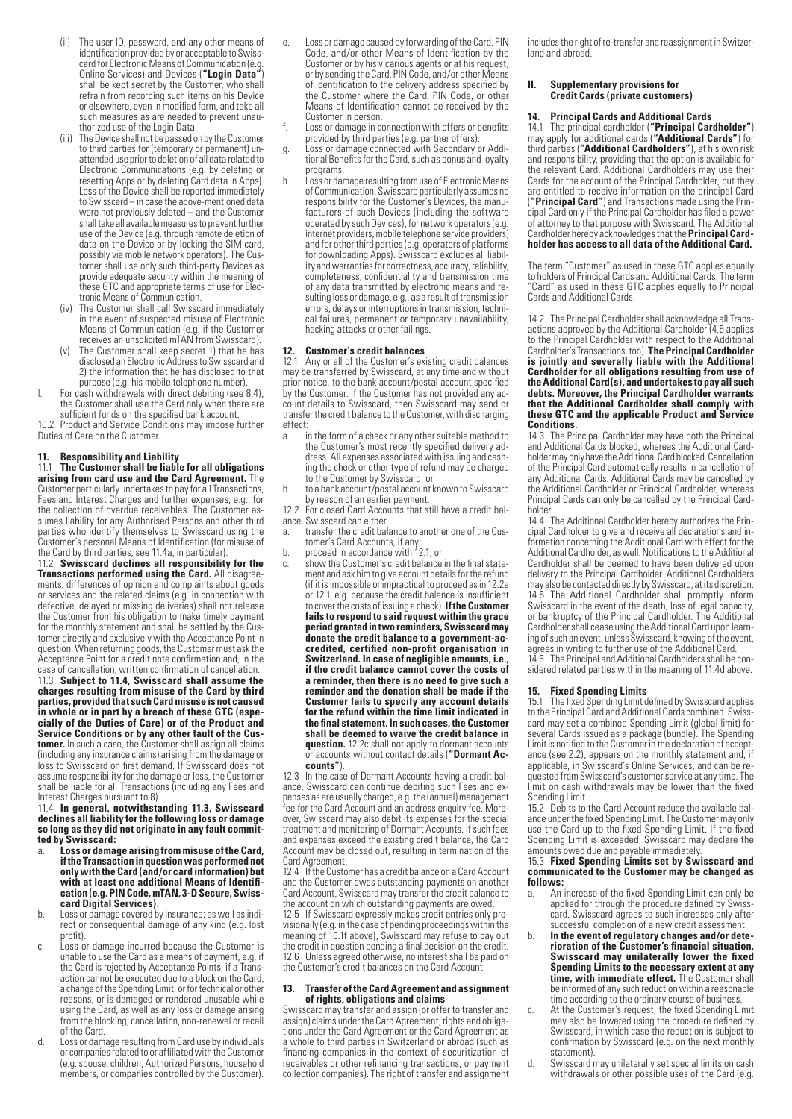- (ii) The user ID, password, and any other means of identification provided by or acceptable to Swisscard for Electronic Means of Communication (e.g. Online Services) and Devices (**"Login Data"**) shall be kept secret by the Customer, who shall refrain from recording such items on his Device or elsewhere, even in modified form, and take all such measures as are needed to prevent unauthorized use of the Login Data.
- (iii) The Device shall not be passed on by the Customer to third parties for (temporary or permanent) unattended use prior to deletion of all data related to Electronic Communications (e.g. by deleting or resetting Apps or by deleting Card data in Apps). Loss of the Device shall be reported immediately to Swisscard – in case the above-mentioned data were not previously deleted – and the Customer shall take all available measures to prevent further use of the Device (e.g. through remote deletion of data on the Device or by locking the SIM card, possibly via mobile network operators). The Cus-tomer shall use only such third-party Devices as provide adequate security within the meaning of these GTC and appropriate terms of use for Electronic Means of Communication.
- (iv) The Customer shall call Swisscard immediately in the event of suspected misuse of Electronic Means of Communication (e.g. if the Customer receives an unsolicited mTAN from Swisscard).
- (v) The Customer shall keep secret 1) that he has disclosed an Electronic Address to Swisscard and 2) the information that he has disclosed to that
- purpose (e.g. his mobile telephone number). l. For cash withdrawals with direct debiting (see 8.4), the Customer shall use the Card only when there are

sufficient funds on the specified bank account. 10.2 Product and Service Conditions may impose further Duties of Care on the Customer.

# **11. Responsibility and Liability**

11.1 **The Customer shall be liable for all obligations arising from card use and the Card Agreement.** The Customer particularly undertakes to pay for all Transactions, Fees and Interest Charges and further expenses, e.g., for the collection of overdue receivables. The Customer as-sumes liability for any Authorised Persons and other third parties who identify themselves to Swisscard using the Customer's personal Means of Identification (for misuse of the Card by third parties, see 11.4a, in particular).

11.2 **Swisscard declines all responsibility for the Transactions performed using the Card.** All disagreements, differences of opinion and complaints about goods or services and the related claims (e.g. in connection with defective, delayed or missing deliveries) shall not release the Customer from his obligation to make timely payment for the monthly statement and shall be settled by the Customer directly and exclusively with the Acceptance Point in question. When returning goods, the Customer must ask the Acceptance Point for a credit note confirmation and, in the case of cancellation, written confirmation of cancellation.

11.3 **Subject to 11.4, Swisscard shall assume the charges resulting from misuse of the Card by third parties, provided that such Card misuse is not caused in whole or in part by a breach of these GTC (espe-cially of the Duties of Care) or of the Product and Service Conditions or by any other fault of the Customer.** In such a case, the Customer shall assign all claims (including any insurance claims) arising from the damage or loss to Swisscard on first demand. If Swisscard does not assume responsibility for the damage or loss, the Customer<br>shall be liable for all Transactions (including any Fees and Interest Charges pursuant to 8).

11.4 **In general, notwithstanding 11.3, Swisscard declines all liability for the following loss or damage so long as they did not originate in any fault committed by Swisscard:**

- a. **Loss or damage arising from misuse of the Card, if the Transaction in question was performed not only with the Card (and/or card information) but with at least one additional Means of Identifi-cation (e.g. PIN Code, mTAN, 3-D Secure, Swisscard Digital Services).**
- b. Loss or damage covered by insurance; as well as indirect or consequential damage of any kind (e.g. lost profit).
- c. Loss or damage incurred because the Customer is unable to use the Card as a means of payment, e.g. if the Card is rejected by Acceptance Points, if a Transaction cannot be executed due to a block on the Card, a change of the Spending Limit, or for technical or other reasons, or is damaged or rendered unusable while using the Card, as well as any loss or damage arising from the blocking, cancellation, non-renewal or recall of the Card.
- d. Loss or damage resulting from Card use by individuals or companies related to or affiliated with the Customer (e.g. spouse, children, Authorized Persons, household members, or companies controlled by the Customer).
- e. Loss or damage caused by forwarding of the Card, PIN Code, and/or other Means of Identification by the Customer or by his vicarious agents or at his request, or by sending the Card, PIN Code, and/or other Means of Identification to the delivery address specified by the Customer where the Card, PIN Code, or other Means of Identification cannot be received by the Customer in person.
- f. Loss or damage in connection with offers or benefits provided by third parties (e.g. partner offers).
- g. Loss or damage connected with Secondary or Additional Benefits for the Card, such as bonus and loyalty programs.
- h. Loss or damage resulting from use of Electronic Means of Communication. Swisscard particularly assumes no responsibility for the Customer's Devices, the manufacturers of such Devices (including the software operated by such Devices), for network operators (e.g. internet providers, mobile telephone service providers) and for other third parties (e.g. operators of platforms for downloading Apps). Swisscard excludes all liabil-ity and warranties for correctness, accuracy, reliability, completeness, confidentiality and transmission time of any data transmitted by electronic means and resulting loss or damage, e.g., as a result of transmission errors, delays or interruptions in transmission, technical failures, permanent or temporary unavailability, hacking attacks or other failings.

## **12. Customer's credit balances**

Any or all of the Customer's existing credit balances may be transferred by Swisscard, at any time and without prior notice, to the bank account/postal account specified by the Customer. If the Customer has not provided any account details to Swisscard, then Swisscard may send or transfer the credit balance to the Customer, with discharging effect:<br>a. i

- in the form of a check or any other suitable method to the Customer's most recently specified delivery address. All expenses associated with issuing and cashing the check or other type of refund may be charged to the Customer by Swisscard; or
- b. to a bank account/postal account known to Swisscard by reason of an earlier payment.
- 12.2 For closed Card Accounts that still have a credit balance, Swisscard can either
- a. transfer the credit balance to another one of the Cus-
- tomer's Card Accounts, if any; b. proceed in accordance with 12.1; or
- c. show the Customer's credit balance in the final statement and ask him to give account details for the refund (if it is impossible or impractical to proceed as in 12.2a or 12.1, e.g. because the credit balance is insufficient to cover the costs of issuing a check). **If the Customer fails to respond to said request within the grace period granted in two reminders, Swisscard may donate the credit balance to a government-accredited, certified non-profit organisation in Switzerland. In case of negligible amounts, i.e., if the credit balance cannot cover the costs of a reminder, then there is no need to give such a reminder and the donation shall be made if the Customer fails to specify any account details for the refund within the time limit indicated in the final statement. In such cases, the Customer shall be deemed to waive the credit balance in question.** 12.2c shall not apply to dormant accounts or accounts without contact details (**"Dormant Accounts"**).

12.3 In the case of Dormant Accounts having a credit bal-ance, Swisscard can continue debiting such Fees and expenses as are usually charged, e.g. the (annual) management fee for the Card Account and an address enquiry fee. Moreover, Swisscard may also debit its expenses for the special treatment and monitoring of Dormant Accounts. If such fees and expenses exceed the existing credit balance, the Card Account may be closed out, resulting in termination of the Card Agreement.

12.4 If the Customer has a credit balance on a Card Account and the Customer owes outstanding payments on another Card Account, Swisscard may transfer the credit balance to the account on which outstanding payments are owed.

12.5 If Swisscard expressly makes credit entries only provisionally (e.g. in the case of pending proceedings within the meaning of 10.1f above), Swisscard may refuse to pay out the credit in question pending a final decision on the credit. 12.6 Unless agreed otherwise, no interest shall be paid on the Customer's credit balances on the Card Account.

### **13. Transfer of the Card Agreement and assignment of rights, obligations and claims**

Swisscard may transfer and assign (or offer to transfer and assign) claims under the Card Agreement, rights and obligaassign) claims under the Card Agreement, rights and obliga- tions under the Card Agreement or the Card Agreement as a whole to third parties in Switzerland or abroad (such as financing companies in the context of securitization of receivables or other refinancing transactions, or payment collection companies). The right of transfer and assignment

includes the right of re-transfer and reassignment in Switzerland and abroad.

#### **II. Supplementary provisions for Credit Cards (private customers)**

#### **14. Principal Cards and Additional Cards**

14.1 The principal cardholder (**"Principal Cardholder"**) may apply for additional cards (**"Additional Cards"**) for third parties (**"Additional Cardholders"**), at his own risk and responsibility, providing that the option is available for the relevant Card. Additional Cardholders may use their Cards for the account of the Principal Cardholder, but they are entitled to receive information on the principal Card (**"Principal Card"**) and Transactions made using the Principal Card only if the Principal Cardholder has filed a power of attorney to that purpose with Swisscard. The Additional Cardholder hereby acknowledges that the **Principal Cardholder has access to all data of the Additional Card.**

The term "Customer" as used in these GTC applies equally to holders of Principal Cards and Additional Cards. The term "Card" as used in these GTC applies equally to Principal Cards and Additional Cards.

14.2 The Principal Cardholder shall acknowledge all Transactions approved by the Additional Cardholder (4.5 applies to the Principal Cardholder with respect to the Additional Cardholder's Transactions, too). **The Principal Cardholder is jointly and severally liable with the Additional Cardholder for all obligations resulting from use of the Additional Card(s), and undertakes to pay all such debts. Moreover, the Principal Cardholder warrants that the Additional Cardholder shall comply with these GTC and the applicable Product and Service Conditions.**

14.3 The Principal Cardholder may have both the Principal and Additional Cards blocked, whereas the Additional Cardholder may only have the Additional Card blocked. Cancellation of the Principal Card automatically results in cancellation of any Additional Cards. Additional Cards may be cancelled by the Additional Cardholder or Principal Cardholder, whereas Principal Cards can only be cancelled by the Principal Card-

holder. 14.4 The Additional Cardholder hereby authorizes the Principal Cardholder to give and receive all declarations and in-formation concerning the Additional Card with effect for the Additional Cardholder, as well. Notifications to the Additional Cardholder shall be deemed to have been delivered upon delivery to the Principal Cardholder. Additional Cardholders may also be contacted directly by Swisscard, at its discretion. 14.5 The Additional Cardholder shall promptly inform Swisscard in the event of the death, loss of legal capacity, or bankruptcy of the Principal Cardholder. The Additional Cardholder shall cease using the Additional Card upon learn-ing of such an event, unless Swisscard, knowing of the event, agrees in writing to further use of the Additional Card.

14.6 The Principal and Additional Cardholders shall be considered related parties within the meaning of 11.4d above.

### **15. Fixed Spending Limits**

15.1 The fixed Spending Limit defined by Swisscard applies to the Principal Card and Additional Cards combined. Swisscard may set a combined Spending Limit (global limit) for several Cards issued as a package (bundle). The Spending Limit is notified to the Customer in the declaration of accept-ance (see 2.2), appears on the monthly statement and, if applicable, in Swisscard's Online Services, and can be requested from Swisscard's customer service at any time. The limit on cash withdrawals may be lower than the fixed Spending Limit.

15.2 Debits to the Card Account reduce the available bal-ance under the fixed Spending Limit. The Customer may only use the Card up to the fixed Spending Limit. If the fixed Spending Limit is exceeded, Swisscard may declare the amounts owed due and payable immediately.

#### 15.3 **Fixed Spending Limits set by Swisscard and communicated to the Customer may be changed as follows:**

- a. An increase of the fixed Spending Limit can only be applied for through the procedure defined by Swiss-card. Swisscard agrees to such increases only after successful completion of a new credit assessment.
- b. **In the event of regulatory changes and/or deterioration of the Customer's financial situation, Swisscard may unilaterally lower the fixed Spending Limits to the necessary extent at any time, with immediate effect.** The Customer shall be informed of any such reduction within a reasonable
- time according to the ordinary course of business. c. At the Customer's request, the fixed Spending Limit may also be lowered using the procedure defined by Swisscard, in which case the reduction is subject to confirmation by Swisscard (e.g. on the next monthly statement).
- d. Swisscard may unilaterally set special limits on cash withdrawals or other possible uses of the Card (e.g.